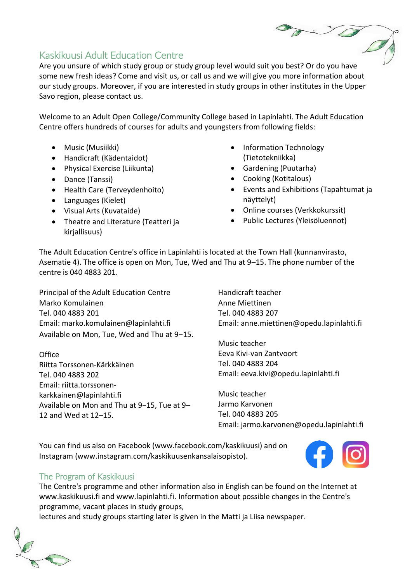# Kaskikuusi Adult Education Centre

Are you unsure of which study group or study group level would suit you best? Or do you have some new fresh ideas? Come and visit us, or call us and we will give you more information about our study groups. Moreover, if you are interested in study groups in other institutes in the Upper Savo region, please contact us.

Welcome to an Adult Open College/Community College based in Lapinlahti. The Adult Education Centre offers hundreds of courses for adults and youngsters from following fields:

- Music (Musiikki)
- Handicraft (Kädentaidot)
- Physical Exercise (Liikunta)
- Dance (Tanssi)
- Health Care (Terveydenhoito)
- Languages (Kielet)
- Visual Arts (Kuvataide)
- Theatre and Literature (Teatteri ja kirjallisuus)
- Information Technology (Tietotekniikka)
- Gardening (Puutarha)
- Cooking (Kotitalous)
- Events and Exhibitions (Tapahtumat ja näyttelyt)
- Online courses (Verkkokurssit)
- Public Lectures (Yleisöluennot)

The Adult Education Centre's office in Lapinlahti is located at the Town Hall (kunnanvirasto, Asematie 4). The office is open on Mon, Tue, Wed and Thu at 9–15. The phone number of the centre is 040 4883 201.

Principal of the Adult Education Centre Marko Komulainen Tel. 040 4883 201 Email: marko.komulainen@lapinlahti.fi Available on Mon, Tue, Wed and Thu at 9-15.

**Office** Riitta Torssonen-Kärkkäinen Tel. 040 4883 202 Email: riitta.torssonenkarkkainen@lapinlahti.fi Available on Mon and Thu at 9−15, Tue at 9– 12 and Wed at 12–15.

Handicraft teacher Anne Miettinen Tel. 040 4883 207 Email: anne.miettinen@opedu.lapinlahti.fi

Music teacher Eeva Kivi-van Zantvoort Tel. 040 4883 204 Email: eeva.kivi@opedu.lapinlahti.fi

Music teacher Jarmo Karvonen Tel. 040 4883 205 Email: jarmo.karvonen@opedu.lapinlahti.fi

You can find us also on Facebook (www.facebook.com/kaskikuusi) and on Instagram (www.instagram.com/kaskikuusenkansalaisopisto).



# The Program of Kaskikuusi

The Centre's programme and other information also in English can be found on the Internet at www.kaskikuusi.fi and www.lapinlahti.fi. Information about possible changes in the Centre's programme, vacant places in study groups,

lectures and study groups starting later is given in the Matti ja Liisa newspaper.